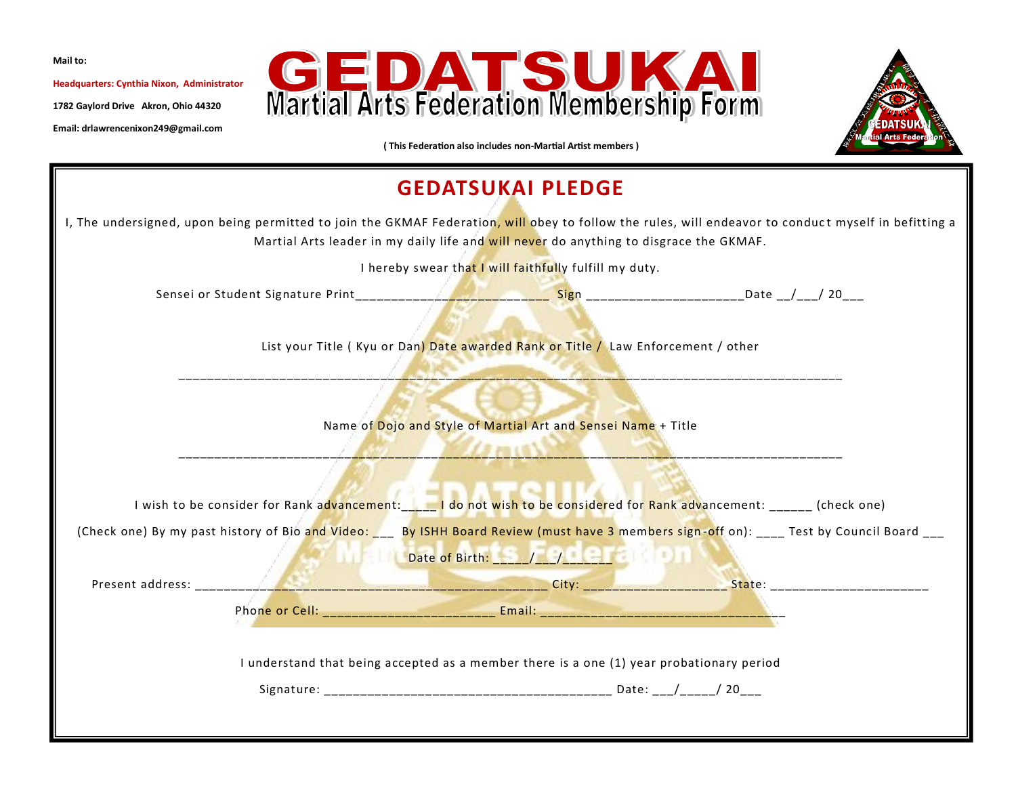**Mail to:**

**Headquarters: Cynthia Nixon, Administrator**

**1782 Gaylord Drive Akron, Ohio 44320**

**Email: drlawrencenixon249@gmail.com**





**( This Federation also includes non-Martial Artist members )**

## **GEDATSUKAI PLEDGE** I, The undersigned, upon being permitted to join the GKMAF Federation, will obey to follow the rules, will endeavor to conduct myself in befitting a Martial Arts leader in my daily life and will never do anything to disgrace the GKMAF. I hereby swear that I will faithfully fulfill my duty. Sensei or Student Signature Print\_\_\_\_\_\_\_\_\_\_\_\_\_\_\_\_\_\_\_\_\_\_\_\_\_\_\_ Sign \_\_\_\_\_\_\_\_\_\_\_\_\_\_\_\_\_\_\_\_\_\_Date \_\_/\_\_\_/ 20\_\_\_ List your Title ( Kyu or Dan) Date awarded Rank or Title / Law Enforcement / other \_\_\_\_\_\_\_\_\_\_\_\_\_\_\_\_\_\_\_\_\_\_\_\_\_\_\_\_\_\_\_\_\_\_\_\_\_\_\_\_\_\_\_\_\_\_\_\_\_\_\_\_\_\_\_\_\_\_\_\_\_\_\_\_\_\_\_\_\_\_\_\_\_\_\_\_\_\_\_\_\_\_\_\_\_\_\_\_\_\_\_\_ Name of Dojo and Style of Martial Art and Sensei Name + Title  $\mathcal{L}_{\text{max}}$ I wish to be consider for Rank advancement: \_\_\_\_ I do not wish to be considered for Rank advancement: \_\_\_\_\_\_ (check one) (Check one) By my past history of Bio and Video: \_\_\_\_\_ By ISHH Board Review (must have 3 members sign-off on): \_\_\_\_ Test by Council Board Date of Birth: \_\_\_\_\_/\_\_\_/\_\_\_\_\_\_\_ Present address: \_\_\_\_\_\_\_\_\_\_\_\_\_\_\_\_\_\_\_\_\_\_\_\_\_\_\_\_\_\_\_\_\_\_\_\_\_\_\_\_\_\_\_\_\_\_\_\_\_ City: \_\_\_\_\_\_\_\_\_\_\_\_\_\_\_\_\_\_\_\_ State: \_\_\_\_\_\_\_\_\_\_\_\_\_\_\_\_\_\_\_\_\_\_ Phone or Cell: \_\_\_\_\_\_\_\_\_\_\_\_\_\_\_\_\_\_\_\_\_\_\_\_ Email: \_\_\_\_\_\_\_\_\_\_\_\_\_\_\_\_\_\_\_\_\_\_\_\_\_\_\_\_\_\_\_\_\_\_ I understand that being accepted as a member there is a one (1) year probationary period Signature: \_\_\_\_\_\_\_\_\_\_\_\_\_\_\_\_\_\_\_\_\_\_\_\_\_\_\_\_\_\_\_\_\_\_\_\_\_\_\_\_ Date: \_\_\_/\_\_\_\_\_/ 20\_\_\_